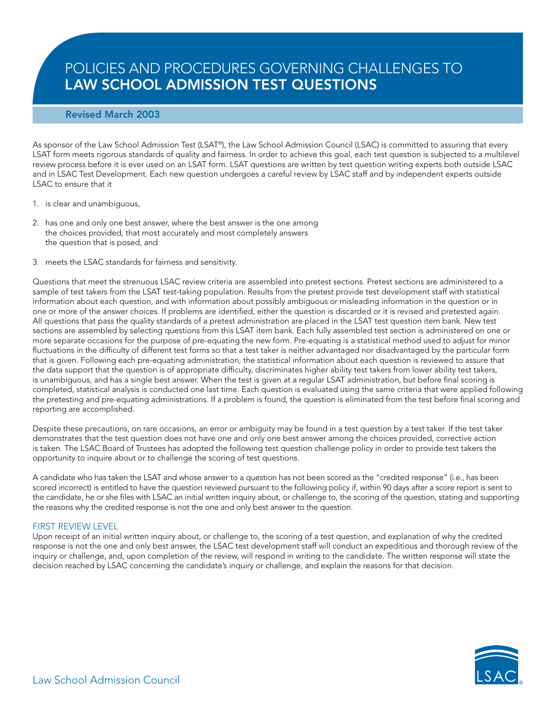# POLICIES AND PROCEDURES GOVERNING CHALLENGES TO **LAW SCHOOL ADMISSION TEST QUESTIONS**

# **Revised March 2003**

As sponsor of the Law School Admission Test (LSAT®), the Law School Admission Council (LSAC) is committed to assuring that every LSAT form meets rigorous standards of quality and fairness. In order to achieve this goal, each test question is subjected to a multilevel review process before it is ever used on an LSAT form. LSAT questions are written by test question writing experts both outside LSAC and in LSAC Test Development. Each new question undergoes a careful review by LSAC staff and by independent experts outside LSAC to ensure that it

- 1. is clear and unambiguous,
- 2. has one and only one best answer, where the best answer is the one among the choices provided, that most accurately and most completely answers the question that is posed, and
- 3. meets the LSAC standards for fairness and sensitivity.

Questions that meet the strenuous LSAC review criteria are assembled into pretest sections. Pretest sections are administered to a sample of test takers from the LSAT test-taking population. Results from the pretest provide test development staff with statistical information about each question, and with information about possibly ambiguous or misleading information in the question or in one or more of the answer choices. If problems are identified, either the question is discarded or it is revised and pretested again. All questions that pass the quality standards of a pretest administration are placed in the LSAT test question item bank. New test sections are assembled by selecting questions from this LSAT item bank. Each fully assembled test section is administered on one or more separate occasions for the purpose of pre-equating the new form. Pre-equating is a statistical method used to adjust for minor fluctuations in the difficulty of different test forms so that a test taker is neither advantaged nor disadvantaged by the particular form that is given. Following each pre-equating administration, the statistical information about each question is reviewed to assure that the data support that the question is of appropriate difficulty, discriminates higher ability test takers from lower ability test takers, is unambiguous, and has a single best answer. When the test is given at a regular LSAT administration, but before final scoring is completed, statistical analysis is conducted one last time. Each question is evaluated using the same criteria that were applied following the pretesting and pre-equating administrations. If a problem is found, the question is eliminated from the test before final scoring and reporting are accomplished.

Despite these precautions, on rare occasions, an error or ambiguity may be found in a test question by a test taker. If the test taker demonstrates that the test question does not have one and only one best answer among the choices provided, corrective action is taken. The LSAC Board of Trustees has adopted the following test question challenge policy in order to provide test takers the opportunity to inquire about or to challenge the scoring of test questions.

A candidate who has taken the LSAT and whose answer to a question has not been scored as the "credited response" (i.e., has been scored incorrect) is entitled to have the question reviewed pursuant to the following policy if, within 90 days after a score report is sent to the candidate, he or she files with LSAC an initial written inquiry about, or challenge to, the scoring of the question, stating and supporting the reasons why the credited response is not the one and only best answer to the question.

# FIRST REVIEW LEVEL

Upon receipt of an initial written inquiry about, or challenge to, the scoring of a test question, and explanation of why the credited response is not the one and only best answer, the LSAC test development staff will conduct an expeditious and thorough review of the inquiry or challenge, and, upon completion of the review, will respond in writing to the candidate. The written response will state the decision reached by LSAC concerning the candidate's inquiry or challenge, and explain the reasons for that decision.